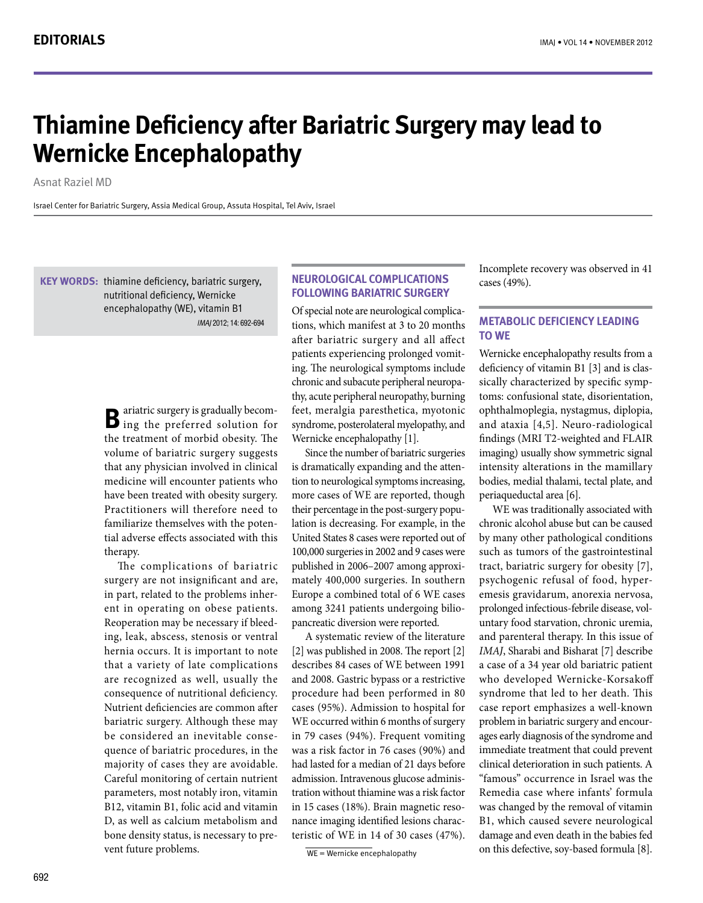# **Thiamine Deficiency after Bariatric Surgery may lead to Wernicke Encephalopathy**

**Asnat Raziel MD** 

Israel Center for Bariatric Surgery, Assia Medical Group, Assuta Hospital, Tel Aviv, Israel

KEY WORDS: thiamine deficiency, bariatric surgery, nutritional deficiency, Wernicke encephalopathy (WE), vitamin B1 IMAI 2012: 14: 692-694

> **B** ariatric surgery is gradually becom-<br>**B** ing-the preferred solution for the treatment of morbid obesity. The volume of bariatric surgery suggests that any physician involved in clinical medicine will encounter patients who have been treated with obesity surgery. Practitioners will therefore need to tial adverse effects associated with this familiarize themselves with the potentherapy.

> The complications of bariatric surgery are not insignificant and are, ent in operating on obese patients. in part, related to the problems inhering, leak, abscess, stenosis or ventral Reoperation may be necessary if bleedhernia occurs. It is important to note that a variety of late complications are recognized as well, usually the consequence of nutritional deficiency. Nutrient deficiencies are common after bariatric surgery. Although these may quence of bariatric procedures, in the be considered an inevitable consemajority of cases they are avoidable. Careful monitoring of certain nutrient parameters, most notably iron, vitamin B12, vitamin B1, folic acid and vitamin D, as well as calcium metabolism and bone density status, is necessary to pre-<br>vent future problems.

# **NEUROLOGICAL COMPLICATIONS FOLLOWING BARIATRIC SURGERY**

tions, which manifest at 3 to 20 months Of special note are neurological complicaafter bariatric surgery and all affect ing. The neurological symptoms include patients experiencing prolonged vomitthy, acute peripheral neuropathy, burning chronic and subacute peripheral neuropafeet, meralgia paresthetica, myotonic syndrome, posterolateral myelopathy, and Wernicke encephalopathy [1].

Since the number of bariatric surgeries tion to neurological symptoms increasing, is dramatically expanding and the attenmore cases of WE are reported, though lation is decreasing. For example, in the their percentage in the post-surgery popu-United States 8 cases were reported out of 100,000 surgeries in 2002 and 9 cases were mately 400,000 surgeries. In southern published in 2006–2007 among approxi-Europe a combined total of 6 WE cases among 3241 patients undergoing bilio-<br>pancreatic diversion were reported.

A systematic review of the literature  $[2]$  was published in 2008. The report  $[2]$ describes 84 cases of WE between 1991 and 2008. Gastric bypass or a restrictive procedure had been performed in 80 cases (95%). Admission to hospital for WE occurred within 6 months of surgery in 79 cases (94%). Frequent vomiting was a risk factor in 76 cases (90%) and had lasted for a median of 21 days before tration without thiamine was a risk factor admission. Intravenous glucose administeristic of WE in 14 of 30 cases  $(47%)$ . nance imaging identified lesions characin 15 cases (18%). Brain magnetic reso-

 $WE = W$ ernicke encephalopathy

Incomplete recovery was observed in 41 cases (49%).

# **METABOLIC DEFICIENCY LEADING WE to**

Wernicke encephalopathy results from a toms: confusional state, disorientation, sically characterized by specific sympdeficiency of vitamin B1 [3] and is clasophthalmoplegia, nystagmus, diplopia, and ataxia [4,5]. Neuro-radiological findings (MRI T2-weighted and FLAIR imaging) usually show symmetric signal intensity alterations in the mamillary bodies, medial thalami, tectal plate, and periaqueductal area [6].

WE was traditionally associated with chronic alcohol abuse but can be caused by many other pathological conditions such as tumors of the gastrointestinal tract, bariatric surgery for obesity  $[7]$ , emesis gravidarum, anorexia nervosa, psychogenic refusal of food, hyperuntary food starvation, chronic uremia, prolonged infectious-febrile disease, voland parenteral therapy. In this issue of *IMAJ*, Sharabi and Bisharat [7] describe a case of a 34 year old bariatric patient who developed Wernicke-Korsakoff syndrome that led to her death. This case report emphasizes a well-known ages early diagnosis of the syndrome and problem in bariatric surgery and encourimmediate treatment that could prevent clinical deterioration in such patients. A "famous" occurrence in Israel was the Remedia case where infants' formula was changed by the removal of vitamin B1, which caused severe neurological damage and even death in the babies fed on this defective, soy-based formula [8].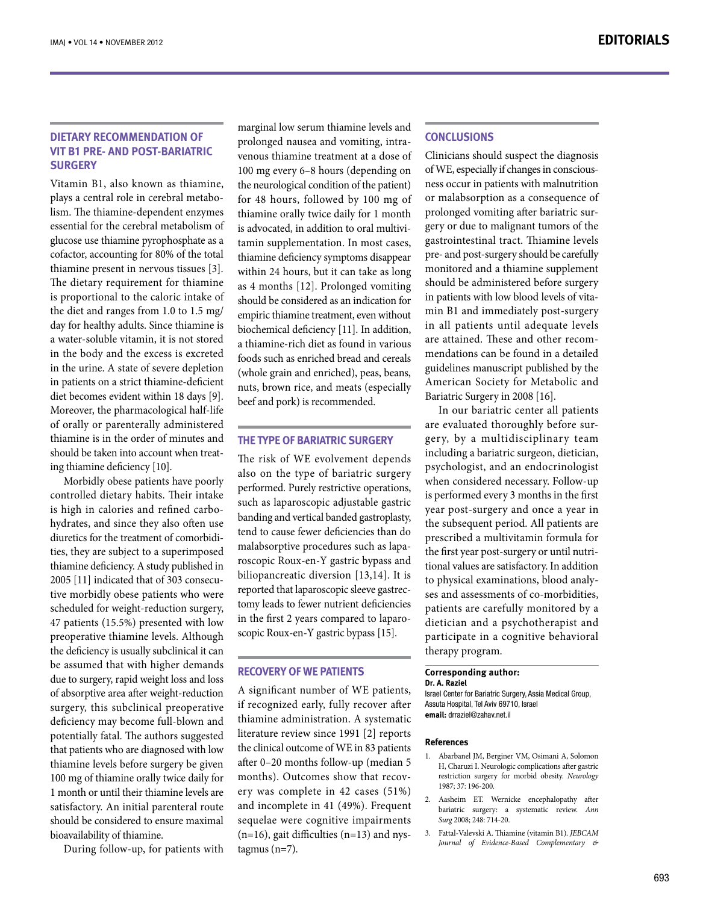# **DIETARY RECOMMENDATION OF WIT B1 PRE- AND POST-BARIATRIC surgery**

Vitamin B1, also known as thiamine. lism. The thiamine-dependent enzymes plays a central role in cerebral metaboessential for the cerebral metabolism of glucose use thiamine pyrophosphate as a cofactor, accounting for 80% of the total thiamine present in nervous tissues [3]. The dietary requirement for thiamine is proportional to the caloric intake of the diet and ranges from  $1.0$  to  $1.5$  mg/ day for healthy adults. Since thiamine is a water-soluble vitamin, it is not stored in the body and the excess is excreted in the urine. A state of severe depletion in patients on a strict thiamine-deficient diet becomes evident within 18 days [9]. Moreover, the pharmacological half-life of orally or parenterally administered thiamine is in the order of minutes and should be taken into account when treat-<br>ing thiamine deficiency [10].

Morbidly obese patients have poorly controlled dietary habits. Their intake hydrates, and since they also often use is high in calories and refined carboties, they are subject to a superimposed diuretics for the treatment of comorbidithiamine deficiency. A study published in tive morbidly obese patients who were 2005 [11] indicated that of 303 consecuscheduled for weight-reduction surgery, 47 patients (15.5%) presented with low preoperative thiamine levels. Although the deficiency is usually subclinical it can be assumed that with higher demands due to surgery, rapid weight loss and loss of absorptive area after weight-reduction surgery, this subclinical preoperative deficiency may become full-blown and potentially fatal. The authors suggested that patients who are diagnosed with low thiamine levels before surgery be given 100 mg of thiamine orally twice daily for 1 month or until their thiamine levels are satisfactory. An initial parenteral route should be considered to ensure maximal bioavailability of thiamine.

During follow-up, for patients with

marginal low serum thiamine levels and venous thiamine treatment at a dose of prolonged nausea and vomiting, intra-100 mg every 6–8 hours (depending on the neurological condition of the patient) for 48 hours, followed by 100 mg of thiamine orally twice daily for 1 month tamin supplementation. In most cases, is advocated, in addition to oral multivithiamine deficiency symptoms disappear within 24 hours, but it can take as long as 4 months [12]. Prolonged vomiting should be considered as an indication for empiric thiamine treatment, even without biochemical deficiency [11]. In addition, a thiamine-rich diet as found in various foods such as enriched bread and cereals (whole grain and enriched), peas, beans, nuts, brown rice, and meats (especially beef and pork) is recommended.

## **THE TYPE OF BARIATRIC SURGERY**

The risk of WE evolvement depends also on the type of bariatric surgery performed. Purely restrictive operations, such as laparoscopic adjustable gastric banding and vertical banded gastroplasty, tend to cause fewer deficiencies than do roscopic Roux-en-Y gastric bypass and malabsorptive procedures such as lapabiliopancreatic diversion [13,14]. It is tomy leads to fewer nutrient deficiencies reported that laparoscopic sleeve gastrecscopic Roux-en-Y gastric bypass [15]. in the first 2 years compared to laparo-

### **RECOVERY OF WE PATIENTS**

A significant number of WE patients, if recognized early, fully recover after thiamine administration. A systematic literature review since 1991 [2] reports the clinical outcome of WE in 83 patients after  $0-20$  months follow-up (median 5 ery was complete in 42 cases (51%) months). Outcomes show that recovand incomplete in 41 (49%). Frequent sequelae were cognitive impairments (n=16), gait difficulties (n=13) and nys-<br>tagmus (n=7).

## **Conclusions**

Clinicians should suspect the diagnosis ness occur in patients with malnutrition of WE, especially if changes in consciousor malabsorption as a consequence of gery or due to malignant tumors of the prolonged vomiting after bariatric surgastrointestinal tract. Thiamine levels pre- and post-surgery should be carefully monitored and a thiamine supplement should be administered before surgery min B1 and immediately post-surgery in patients with low blood levels of vitain all patients until adequate levels mendations can be found in a detailed are attained. These and other recomguidelines manuscript published by the American Society for Metabolic and Bariatric Surgery in 2008 [16].

In our bariatric center all patients gery, by a multidisciplinary team are evaluated thoroughly before surincluding a bariatric surgeon, dietician, psychologist, and an endocrinologist when considered necessary. Follow-up is performed every 3 months in the first year post-surgery and once a year in the subsequent period. All patients are prescribed a multivitamin formula for tional values are satisfactory. In addition the first year post-surgery or until nutrises and assessments of co-morbidities, to physical examinations, blood analypatients are carefully monitored by a dietician and a psychotherapist and participate in a cognitive behavioral therapy program.

#### **Corresponding author:**

Dr. A. Raziel

Israel Center for Bariatric Surgery, Assia Medical Group, Assuta Hospital, Tel Aviv 69710, Israel email: drraziel@zahav.net.il

#### **References**

- 1. Abarbanel JM, Berginer VM, Osimani A, Solomon H, Charuzi I. Neurologic complications after gastric restriction surgery for morbid obesity. Neurology 1987; 37: 196-200.
- 2. Aasheim ET. Wernicke encephalopathy after **bariatric** surgery: a systematic review. Ann Surg 2008; 248: 714-20.
- 3. Fattal-Valevski A. Thiamine (vitamin B1). *JEBCAM & Complementary Based-Evidence of Journal*